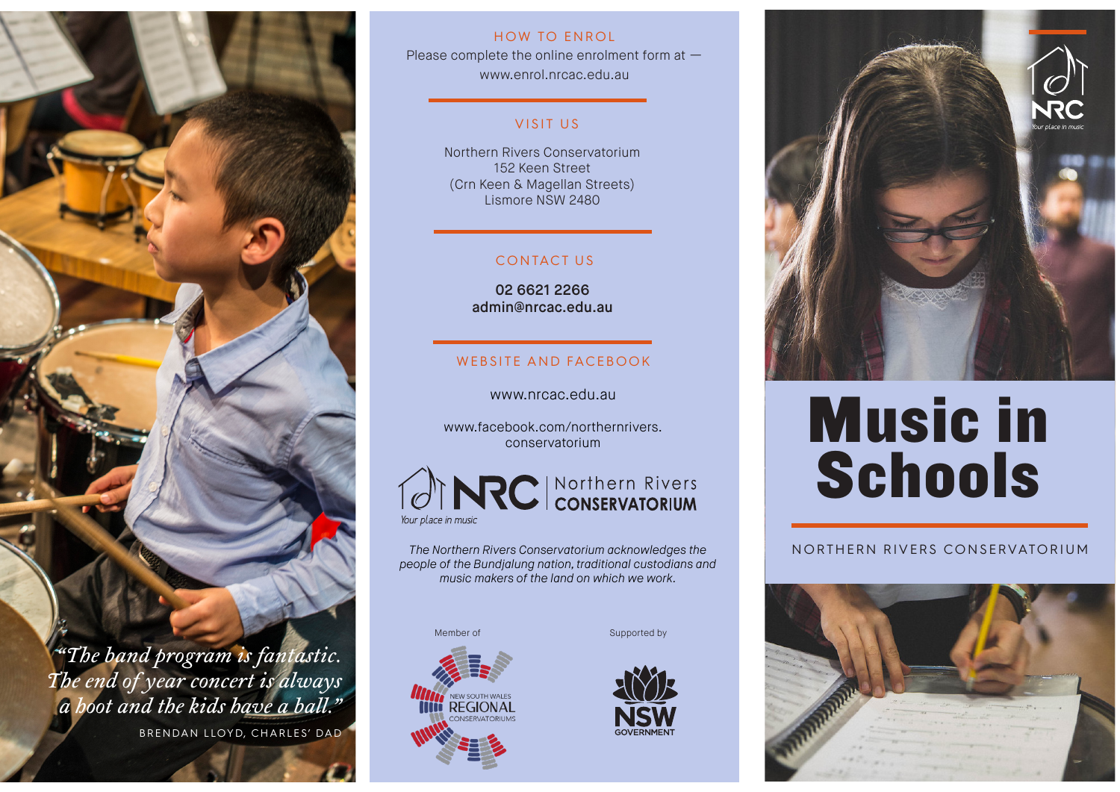

BRENDAN LLOYD, CHARLES' DAD

# HOW TO ENROL

Please complete the online enrolment form at www.enrol.nrcac.edu.au

# VISIT US

Northern Rivers Conservatorium 152 Keen Street (Crn Keen & Magellan Streets) Lismore NSW 2480

# CONTACT US

02 6621 2266 admin@nrcac.edu.au

# WEBSITE AND FACEBOOK

# www.nrcac.edu.au

www.facebook.com/northernrivers. conservatorium



*The Northern Rivers Conservatorium acknowledges the people of the Bundjalung nation, traditional custodians and music makers of the land on which we work.*

Member of



Supported by





# Music in **Schools**

# NORTHERN RIVERS CONSERVATORIUM